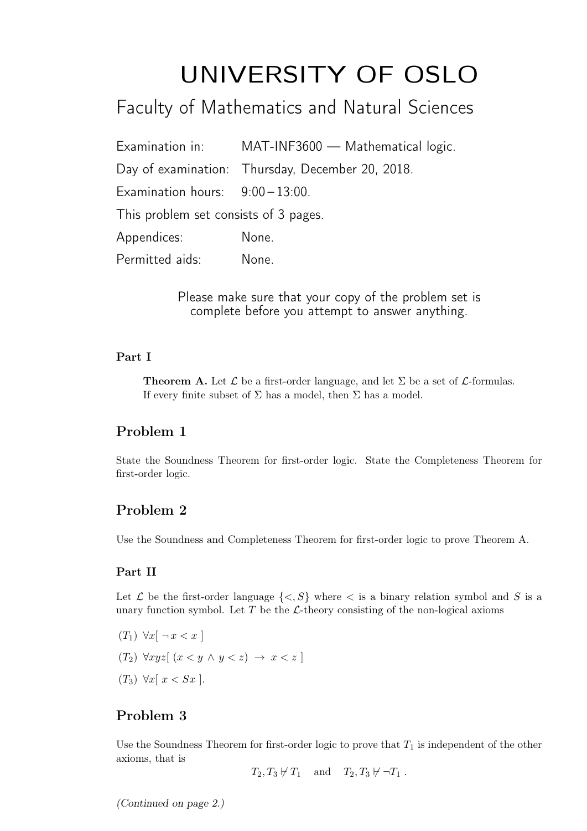# UNIVERSITY OF OSLO

# Faculty of Mathematics and Natural Sciences

|                                       | Examination in: MAT-INF3600 - Mathematical logic. |
|---------------------------------------|---------------------------------------------------|
|                                       | Day of examination: Thursday, December 20, 2018.  |
| Examination hours: $9:00-13:00$ .     |                                                   |
| This problem set consists of 3 pages. |                                                   |
| Appendices:                           | None.                                             |
| Permitted aids:                       | None.                                             |

Please make sure that your copy of the problem set is complete before you attempt to answer anything.

#### Part I

**Theorem A.** Let  $\mathcal{L}$  be a first-order language, and let  $\Sigma$  be a set of  $\mathcal{L}$ -formulas. If every finite subset of  $\Sigma$  has a model, then  $\Sigma$  has a model.

# Problem 1

State the Soundness Theorem for first-order logic. State the Completeness Theorem for first-order logic.

# Problem 2

Use the Soundness and Completeness Theorem for first-order logic to prove Theorem A.

#### Part II

Let  $\mathcal L$  be the first-order language  $\{<, S\}$  where  $<$  is a binary relation symbol and S is a unary function symbol. Let  $T$  be the  $\mathcal{L}\text{-theory}$  consisting of the non-logical axioms

- $(T_1)$   $\forall x \neg x < x$
- (T<sub>2</sub>)  $\forall xyz \mid (x \leq y \land y \leq z) \rightarrow x \leq z$
- $(T_3)$   $\forall x \vert x < Sx$ ].

# Problem 3

Use the Soundness Theorem for first-order logic to prove that  $T_1$  is independent of the other axioms, that is

 $T_2, T_3 \not\vdash T_1$  and  $T_2, T_3 \not\vdash \neg T_1$ .

(Continued on page 2.)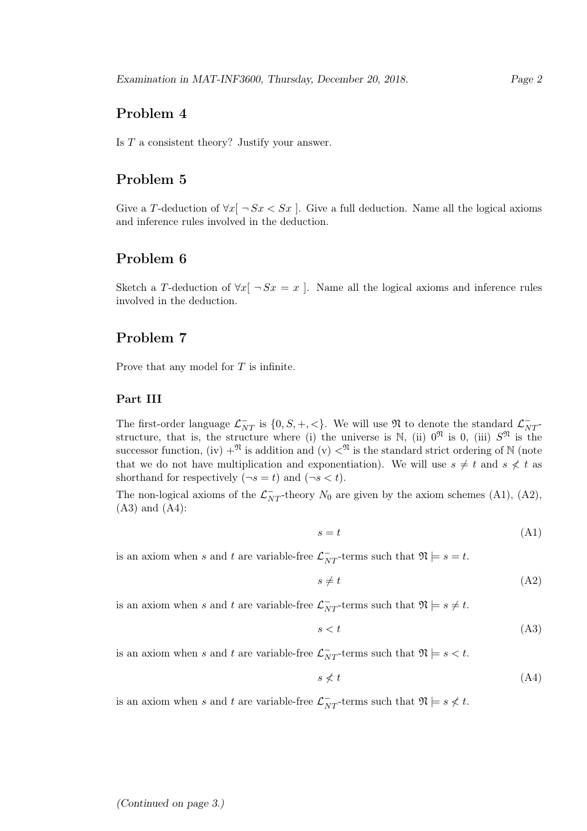# Problem 4

Is T a consistent theory? Justify your answer.

### Problem 5

Give a T-deduction of  $\forall x$ [  $\neg Sx \leq Sx$ ]. Give a full deduction. Name all the logical axioms and inference rules involved in the deduction.

# Problem 6

Sketch a T-deduction of  $\forall x$ [  $\neg Sx = x$ ]. Name all the logical axioms and inference rules involved in the deduction.

### Problem 7

Prove that any model for T is infinite.

#### Part III

The first-order language  $\mathcal{L}_{NT}^-$  is  $\{0, S, +, <\}$ . We will use  $\mathfrak{N}$  to denote the standard  $\mathcal{L}_{NT}^$ structure, that is, the structure where (i) the universe is  $\mathbb{N}$ , (ii)  $0^{\mathfrak{N}}$  is 0, (iii)  $S^{\mathfrak{N}}$  is the successor function, (iv)  $+^{\mathfrak{N}}$  is addition and (v)  $<^{\mathfrak{N}}$  is the standard strict ordering of N (note that we do not have multiplication and exponentiation). We will use  $s \neq t$  and  $s \not\leq t$  as shorthand for respectively  $(\neg s = t)$  and  $(\neg s < t)$ .

The non-logical axioms of the  $\mathcal{L}_{NT}^-$ -theory  $N_0$  are given by the axiom schemes (A1), (A2), (A3) and (A4):

$$
s = t \tag{A1}
$$

is an axiom when s and t are variable-free  $\mathcal{L}_{NT}^-$ -terms such that  $\mathfrak{N} \models s = t$ .

 $s \neq t$  (A2)

is an axiom when s and t are variable-free  $\mathcal{L}_{NT}^-$ -terms such that  $\mathfrak{N} \models s \neq t$ .

$$
s < t \tag{A3}
$$

is an axiom when s and t are variable-free  $\mathcal{L}_{NT}^-$ -terms such that  $\mathfrak{N} \models s < t$ .

$$
s \nless t \tag{A4}
$$

is an axiom when s and t are variable-free  $\mathcal{L}_{NT}^-$ -terms such that  $\mathfrak{N} \models s \not\lt t$ .